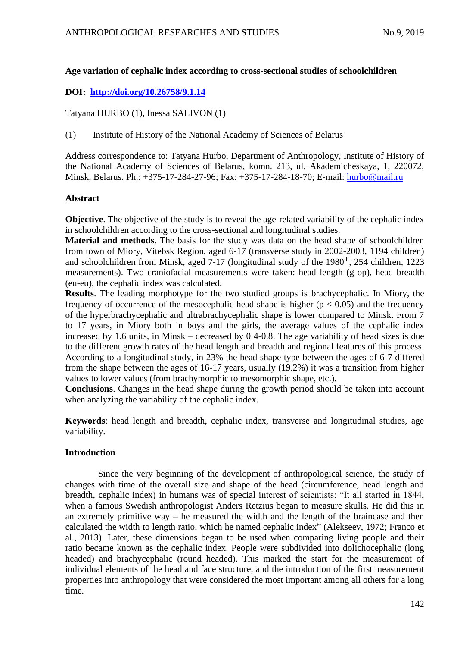# **Age variation of cephalic index according to cross-sectional studies of schoolchildren**

# **DOI: <http://doi.org/10.26758/9.1.14>**

Tatyana HURBO (1), Inessa SALIVON (1)

(1) Institute of History of the National Academy of Sciences of Belarus

Address correspondence to: Tatyana Hurbo, Department of Anthropology, Institute of History of the National Academy of Sciences of Belarus, komn. 213, ul. Akademicheskaya, 1, 220072, Minsk, Belarus. Ph.: +375-17-284-27-96; Fax: +375-17-284-18-70; E-mail: [hurbo@mail.ru](mailto:hurbo@mail.ru)

## **Abstract**

**Objective**. The objective of the study is to reveal the age-related variability of the cephalic index in schoolchildren according to the cross-sectional and longitudinal studies.

**Material and methods**. The basis for the study was data on the head shape of schoolchildren from town of Miory, Vitebsk Region, aged 6-17 (transverse study in 2002-2003, 1194 children) and schoolchildren from Minsk, aged  $7-17$  (longitudinal study of the  $1980<sup>th</sup>$ , 254 children, 1223 measurements). Two craniofacial measurements were taken: head length (g-op), head breadth (eu-eu), the cephalic index was calculated.

**Results**. The leading morphotype for the two studied groups is brachycephalic. In Miory, the frequency of occurrence of the mesocephalic head shape is higher ( $p < 0.05$ ) and the frequency of the hyperbrachycephalic and ultrabrachycephalic shape is lower compared to Minsk. From 7 to 17 years, in Miory both in boys and the girls, the average values of the cephalic index increased by 1.6 units, in Minsk – decreased by 0 4-0.8. The age variability of head sizes is due to the different growth rates of the head length and breadth and regional features of this process. According to a longitudinal study, in 23% the head shape type between the ages of 6-7 differed from the shape between the ages of 16-17 years, usually (19.2%) it was a transition from higher values to lower values (from brachymorphic to mesomorphic shape, etc.).

**Conclusions**. Changes in the head shape during the growth period should be taken into account when analyzing the variability of the cephalic index.

**Keywords**: head length and breadth, cephalic index, transverse and longitudinal studies, age variability.

# **Introduction**

Since the very beginning of the development of anthropological science, the study of changes with time of the overall size and shape of the head (circumference, head length and breadth, cephalic index) in humans was of special interest of scientists: "It all started in 1844, when a famous Swedish anthropologist Anders Retzius began to measure skulls. He did this in an extremely primitive way – he measured the width and the length of the braincase and then calculated the width to length ratio, which he named cephalic index" (Alekseev, 1972; Franco et al., 2013). Later, these dimensions began to be used when comparing living people and their ratio became known as the cephalic index. People were subdivided into dolichocephalic (long headed) and [brachycephalic](http://antropogenez.ru/term/184/) (round headed). This marked the start for the measurement of individual elements of the head and face structure, and the introduction of the first measurement properties into anthropology that were considered the most important among all others for a long time.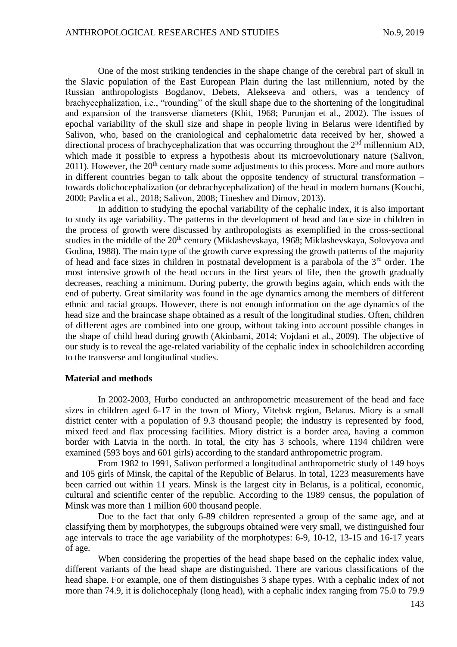One of the most striking tendencies in the shape change of the cerebral part of skull in the Slavic population of the East European Plain during the last millennium, noted by the Russian anthropologists Bogdanov, Debets, Alekseeva and others, was a tendency of brachycephalization, i.e., "rounding" of the skull shape due to the shortening of the longitudinal and expansion of the transverse diameters (Khit, 1968; Purunjan et al., 2002). The issues of epochal variability of the skull size and shape in people living in Belarus were identified by Salivon, who, based on the craniological and cephalometric data received by her, showed a directional process of brachycephalization that was occurring throughout the 2<sup>nd</sup> millennium AD, which made it possible to express a hypothesis about its microevolutionary nature (Salivon,  $2011$ ). However, the  $20<sup>th</sup>$  century made some adjustments to this process. More and more authors in different countries began to talk about the opposite tendency of structural transformation – towards dolichocephalization (or debrachycephalization) of the head in modern humans (Kouchi, 2000; Pavlica et al., 2018; Salivon, 2008; Tineshev and Dimov, 2013).

In addition to studying the epochal variability of the cephalic index, it is also important to study its age variability. The patterns in the development of head and face size in children in the process of growth were discussed by anthropologists as exemplified in the cross-sectional studies in the middle of the 20<sup>th</sup> century (Miklashevskaya, 1968; Miklashevskaya, Solovyova and Godina, 1988). The main type of the growth curve expressing the growth patterns of the majority of head and face sizes in children in postnatal development is a parabola of the  $3<sup>rd</sup>$  order. The most intensive growth of the head occurs in the first years of life, then the growth gradually decreases, reaching a minimum. During puberty, the growth begins again, which ends with the end of puberty. Great similarity was found in the age dynamics among the members of different ethnic and racial groups. However, there is not enough information on the age dynamics of the head size and the braincase shape obtained as a result of the longitudinal studies. Often, children of different ages are combined into one group, without taking into account possible changes in the shape of child head during growth (Akinbami, 2014; Vojdani et al., 2009). The objective of our study is to reveal the age-related variability of the cephalic index in schoolchildren according to the transverse and longitudinal studies.

### **Material and methods**

In 2002-2003, Hurbo conducted an anthropometric measurement of the head and face sizes in children aged 6-17 in the town of Miory, Vitebsk region, Belarus. Miory is a small district center with a population of 9.3 thousand people; the industry is represented by food, mixed feed and flax processing facilities. Miory district is a border area, having a common border with Latvia in the north. In total, the city has 3 schools, where 1194 children were examined (593 boys and 601 girls) according to the standard anthropometric program.

From 1982 to 1991, Salivon performed a longitudinal anthropometric study of 149 boys and 105 girls of Minsk, the capital of the Republic of Belarus. In total, 1223 measurements have been carried out within 11 years. Minsk is the largest city in Belarus, is a political, economic, cultural and scientific center of the republic. According to the 1989 census, the population of Minsk was more than 1 million 600 thousand people.

Due to the fact that only 6-89 children represented a group of the same age, and at classifying them by morphotypes, the subgroups obtained were very small, we distinguished four age intervals to trace the age variability of the morphotypes: 6-9, 10-12, 13-15 and 16-17 years of age.

When considering the properties of the head shape based on the cephalic index value, different variants of the head shape are distinguished. There are various classifications of the head shape. For example, one of them distinguishes 3 shape types. With a cephalic index of not more than 74.9, it is dolichocephaly (long head), with a cephalic index ranging from 75.0 to 79.9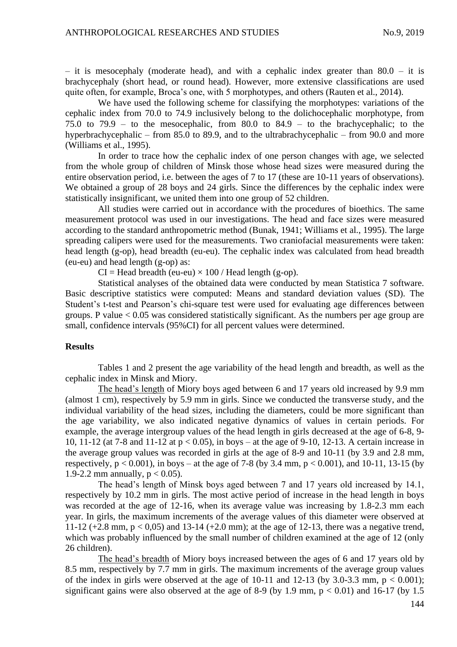– it is mesocephaly (moderate head), and with a cephalic index greater than  $80.0 -$  it is brachycephaly (short head, or round head). However, more extensive classifications are used quite often, for example, Broca's one, with 5 morphotypes, and others (Rauten et al., 2014).

We have used the following scheme for classifying the morphotypes: variations of the cephalic index from 70.0 to 74.9 inclusively belong to the dolichocephalic morphotype, from 75.0 to 79.9 – to the mesocephalic, from 80.0 to 84.9 – to the brachycephalic; to the hyperbrachycephalic – from 85.0 to 89.9, and to the ultrabrachycephalic – from 90.0 and more (Williams et al., 1995).

In order to trace how the cephalic index of one person changes with age, we selected from the whole group of children of Minsk those whose head sizes were measured during the entire observation period, i.e. between the ages of 7 to 17 (these are 10-11 years of observations). We obtained a group of 28 boys and 24 girls. Since the differences by the cephalic index were statistically insignificant, we united them into one group of 52 children.

All studies were carried out in accordance with the procedures of bioethics. The same measurement protocol was used in our investigations. The head and face sizes were measured according to the standard anthropometric method (Bunak, 1941; Williams et al., 1995). The large spreading calipers were used for the measurements. Two craniofacial measurements were taken: head length (g-op), head breadth (eu-eu). The cephalic index was calculated from head breadth (eu-eu) and head length (g-op) as:

 $CI = Head breadth (eu-eu) \times 100$  / Head length (g-op).

Statistical analyses of the obtained data were conducted by mean Statistica 7 software. Basic descriptive statistics were computed: Means and standard deviation values (SD). The Student's t-test and Pearson's chi-square test were used for evaluating age differences between groups. P value  $< 0.05$  was considered statistically significant. As the numbers per age group are small, confidence intervals (95%CI) for all percent values were determined.

### **Results**

Tables 1 and 2 present the age variability of the head length and breadth, as well as the cephalic index in Minsk and Miory.

The head's length of Miory boys aged between 6 and 17 years old increased by 9.9 mm (almost 1 cm), respectively by 5.9 mm in girls. Since we conducted the transverse study, and the individual variability of the head sizes, including the diameters, could be more significant than the age variability, we also indicated negative dynamics of values in certain periods. For example, the average intergroup values of the head length in girls decreased at the age of 6-8, 9- 10, 11-12 (at 7-8 and 11-12 at p < 0.05), in boys – at the age of 9-10, 12-13. A certain increase in the average group values was recorded in girls at the age of 8-9 and 10-11 (by 3.9 and 2.8 mm, respectively,  $p < 0.001$ ), in boys – at the age of 7-8 (by 3.4 mm,  $p < 0.001$ ), and 10-11, 13-15 (by 1.9-2.2 mm annually,  $p < 0.05$ ).

The head's length of Minsk boys aged between 7 and 17 years old increased by 14.1, respectively by 10.2 mm in girls. The most active period of increase in the head length in boys was recorded at the age of 12-16, when its average value was increasing by 1.8-2.3 mm each year. In girls, the maximum increments of the average values of this diameter were observed at 11-12 (+2.8 mm,  $p < 0.05$ ) and 13-14 (+2.0 mm); at the age of 12-13, there was a negative trend, which was probably influenced by the small number of children examined at the age of 12 (only 26 children).

The head's breadth of Miory boys increased between the ages of 6 and 17 years old by 8.5 mm, respectively by 7.7 mm in girls. The maximum increments of the average group values of the index in girls were observed at the age of 10-11 and 12-13 (by 3.0-3.3 mm,  $p < 0.001$ ); significant gains were also observed at the age of 8-9 (by 1.9 mm,  $p < 0.01$ ) and 16-17 (by 1.5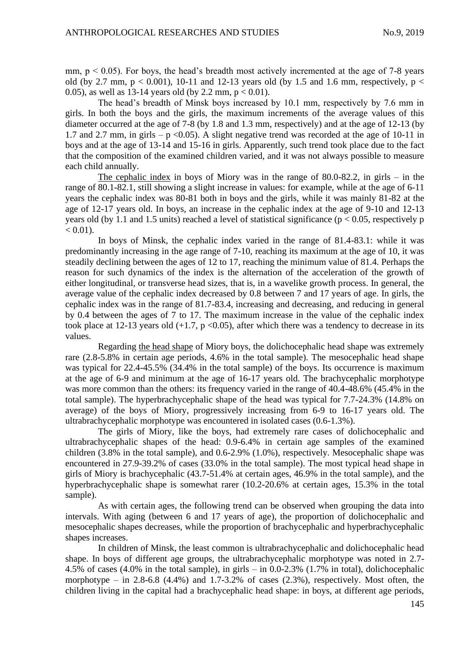mm,  $p < 0.05$ ). For boys, the head's breadth most actively incremented at the age of 7-8 years old (by 2.7 mm,  $p < 0.001$ ), 10-11 and 12-13 years old (by 1.5 and 1.6 mm, respectively,  $p <$ 0.05), as well as 13-14 years old (by 2.2 mm,  $p < 0.01$ ).

The head's breadth of Minsk boys increased by 10.1 mm, respectively by 7.6 mm in girls. In both the boys and the girls, the maximum increments of the average values of this diameter occurred at the age of 7-8 (by 1.8 and 1.3 mm, respectively) and at the age of 12-13 (by 1.7 and 2.7 mm, in girls – p < 0.05). A slight negative trend was recorded at the age of 10-11 in boys and at the age of 13-14 and 15-16 in girls. Apparently, such trend took place due to the fact that the composition of the examined children varied, and it was not always possible to measure each child annually.

The cephalic index in boys of Miory was in the range of 80.0-82.2, in girls – in the range of 80.1-82.1, still showing a slight increase in values: for example, while at the age of 6-11 years the cephalic index was 80-81 both in boys and the girls, while it was mainly 81-82 at the age of 12-17 years old. In boys, an increase in the cephalic index at the age of 9-10 and 12-13 years old (by 1.1 and 1.5 units) reached a level of statistical significance ( $p < 0.05$ , respectively p  $< 0.01$ ).

In boys of Minsk, the cephalic index varied in the range of 81.4-83.1: while it was predominantly increasing in the age range of 7-10, reaching its maximum at the age of 10, it was steadily declining between the ages of 12 to 17, reaching the minimum value of 81.4. Perhaps the reason for such dynamics of the index is the alternation of the acceleration of the growth of either longitudinal, or transverse head sizes, that is, in a wavelike growth process. In general, the average value of the cephalic index decreased by 0.8 between 7 and 17 years of age. In girls, the cephalic index was in the range of 81.7-83.4, increasing and decreasing, and reducing in general by 0.4 between the ages of 7 to 17. The maximum increase in the value of the cephalic index took place at 12-13 years old  $(+1.7, p < 0.05)$ , after which there was a tendency to decrease in its values.

Regarding the head shape of Miory boys, the dolichocephalic head shape was extremely rare (2.8-5.8% in certain age periods, 4.6% in the total sample). The mesocephalic head shape was typical for 22.4-45.5% (34.4% in the total sample) of the boys. Its occurrence is maximum at the age of 6-9 and minimum at the age of 16-17 years old. The brachycephalic morphotype was more common than the others: its frequency varied in the range of 40.4-48.6% (45.4% in the total sample). The hyperbrachycephalic shape of the head was typical for 7.7-24.3% (14.8% on average) of the boys of Miory, progressively increasing from 6-9 to 16-17 years old. The ultrabrachycephalic morphotype was encountered in isolated cases (0.6-1.3%).

The girls of Miory, like the boys, had extremely rare cases of dolichocephalic and ultrabrachycephalic shapes of the head: 0.9-6.4% in certain age samples of the examined children (3.8% in the total sample), and 0.6-2.9% (1.0%), respectively. Mesocephalic shape was encountered in 27.9-39.2% of cases (33.0% in the total sample). The most typical head shape in girls of Miory is brachycephalic (43.7-51.4% at certain ages, 46.9% in the total sample), and the hyperbrachycephalic shape is somewhat rarer (10.2-20.6% at certain ages, 15.3% in the total sample).

As with certain ages, the following trend can be observed when grouping the data into intervals. With aging (between 6 and 17 years of age), the proportion of dolichocephalic and mesocephalic shapes decreases, while the proportion of brachycephalic and hyperbrachycephalic shapes increases.

In children of Minsk, the least common is ultrabrachycephalic and dolichocephalic head shape. In boys of different age groups, the ultrabrachycephalic morphotype was noted in 2.7- 4.5% of cases (4.0% in the total sample), in girls – in 0.0-2.3% (1.7% in total), dolichocephalic morphotype – in 2.8-6.8 (4.4%) and 1.7-3.2% of cases  $(2.3\%)$ , respectively. Most often, the children living in the capital had a brachycephalic head shape: in boys, at different age periods,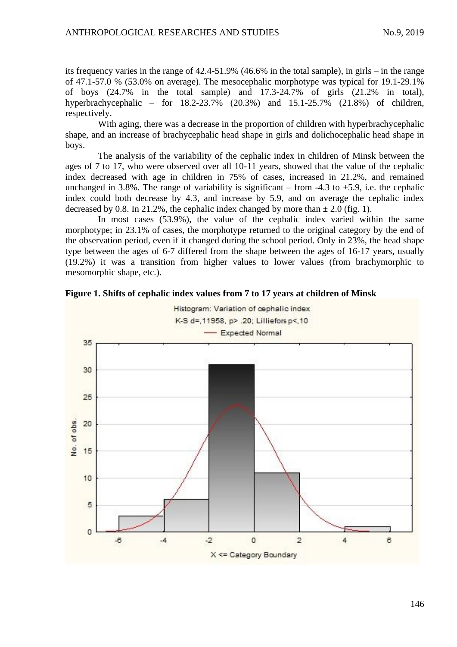its frequency varies in the range of 42.4-51.9% (46.6% in the total sample), in girls – in the range of 47.1-57.0 % (53.0% on average). The mesocephalic morphotype was typical for 19.1-29.1% of boys (24.7% in the total sample) and 17.3-24.7% of girls (21.2% in total), hyperbrachycephalic – for 18.2-23.7% (20.3%) and 15.1-25.7% (21.8%) of children, respectively.

With aging, there was a decrease in the proportion of children with hyperbrachycephalic shape, and an increase of brachycephalic head shape in girls and dolichocephalic head shape in boys.

The analysis of the variability of the cephalic index in children of Minsk between the ages of 7 to 17, who were observed over all 10-11 years, showed that the value of the cephalic index decreased with age in children in 75% of cases, increased in 21.2%, and remained unchanged in 3.8%. The range of variability is significant – from  $-4.3$  to  $+5.9$ , i.e. the cephalic index could both decrease by 4.3, and increase by 5.9, and on average the cephalic index decreased by 0.8. In 21.2%, the cephalic index changed by more than  $\pm$  2.0 (fig. 1).

In most cases (53.9%), the value of the cephalic index varied within the same morphotype; in 23.1% of cases, the morphotype returned to the original category by the end of the observation period, even if it changed during the school period. Only in 23%, the head shape type between the ages of 6-7 differed from the shape between the ages of 16-17 years, usually (19.2%) it was a transition from higher values to lower values (from brachymorphic to mesomorphic shape, etc.).



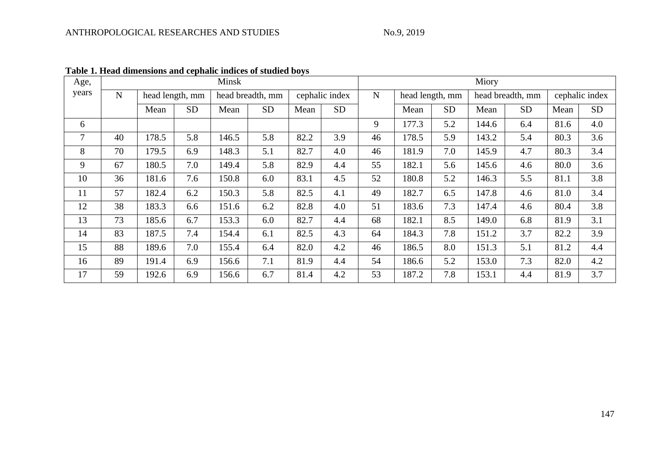| Age,           | Minsk     |                 |           |                  |           |                |           |           | Miory           |           |                  |           |                |           |  |  |  |
|----------------|-----------|-----------------|-----------|------------------|-----------|----------------|-----------|-----------|-----------------|-----------|------------------|-----------|----------------|-----------|--|--|--|
| years          | ${\bf N}$ | head length, mm |           | head breadth, mm |           | cephalic index |           | ${\bf N}$ | head length, mm |           | head breadth, mm |           | cephalic index |           |  |  |  |
|                |           | Mean            | <b>SD</b> | Mean             | <b>SD</b> | Mean           | <b>SD</b> |           | Mean            | <b>SD</b> | Mean             | <b>SD</b> | Mean           | <b>SD</b> |  |  |  |
| 6              |           |                 |           |                  |           |                |           | 9         | 177.3           | 5.2       | 144.6            | 6.4       | 81.6           | 4.0       |  |  |  |
| $\overline{7}$ | 40        | 178.5           | 5.8       | 146.5            | 5.8       | 82.2           | 3.9       | 46        | 178.5           | 5.9       | 143.2            | 5.4       | 80.3           | 3.6       |  |  |  |
| 8              | 70        | 179.5           | 6.9       | 148.3            | 5.1       | 82.7           | 4.0       | 46        | 181.9           | 7.0       | 145.9            | 4.7       | 80.3           | 3.4       |  |  |  |
| 9              | 67        | 180.5           | 7.0       | 149.4            | 5.8       | 82.9           | 4.4       | 55        | 182.1           | 5.6       | 145.6            | 4.6       | 80.0           | 3.6       |  |  |  |
| 10             | 36        | 181.6           | 7.6       | 150.8            | 6.0       | 83.1           | 4.5       | 52        | 180.8           | 5.2       | 146.3            | 5.5       | 81.1           | 3.8       |  |  |  |
| 11             | 57        | 182.4           | 6.2       | 150.3            | 5.8       | 82.5           | 4.1       | 49        | 182.7           | 6.5       | 147.8            | 4.6       | 81.0           | 3.4       |  |  |  |
| 12             | 38        | 183.3           | 6.6       | 151.6            | 6.2       | 82.8           | 4.0       | 51        | 183.6           | 7.3       | 147.4            | 4.6       | 80.4           | 3.8       |  |  |  |
| 13             | 73        | 185.6           | 6.7       | 153.3            | 6.0       | 82.7           | 4.4       | 68        | 182.1           | 8.5       | 149.0            | 6.8       | 81.9           | 3.1       |  |  |  |
| 14             | 83        | 187.5           | 7.4       | 154.4            | 6.1       | 82.5           | 4.3       | 64        | 184.3           | 7.8       | 151.2            | 3.7       | 82.2           | 3.9       |  |  |  |
| 15             | 88        | 189.6           | 7.0       | 155.4            | 6.4       | 82.0           | 4.2       | 46        | 186.5           | 8.0       | 151.3            | 5.1       | 81.2           | 4.4       |  |  |  |
| 16             | 89        | 191.4           | 6.9       | 156.6            | 7.1       | 81.9           | 4.4       | 54        | 186.6           | 5.2       | 153.0            | 7.3       | 82.0           | 4.2       |  |  |  |
| 17             | 59        | 192.6           | 6.9       | 156.6            | 6.7       | 81.4           | 4.2       | 53        | 187.2           | 7.8       | 153.1            | 4.4       | 81.9           | 3.7       |  |  |  |

**Table 1. Head dimensions and cephalic indices of studied boys**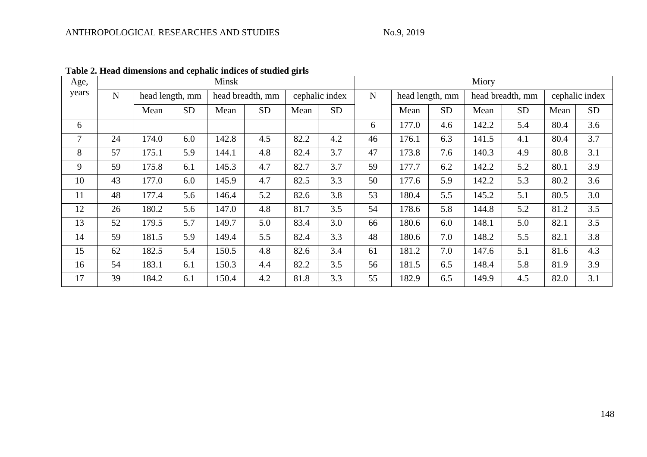| Age,           |             |                 |           | Minsk            |           |                | Miory     |             |                 |           |                  |           |                |           |  |
|----------------|-------------|-----------------|-----------|------------------|-----------|----------------|-----------|-------------|-----------------|-----------|------------------|-----------|----------------|-----------|--|
| years          | $\mathbf N$ | head length, mm |           | head breadth, mm |           | cephalic index |           | $\mathbf N$ | head length, mm |           | head breadth, mm |           | cephalic index |           |  |
|                |             | Mean            | <b>SD</b> | Mean             | <b>SD</b> | Mean           | <b>SD</b> |             | Mean            | <b>SD</b> | Mean             | <b>SD</b> | Mean           | <b>SD</b> |  |
| 6              |             |                 |           |                  |           |                |           | 6           | 177.0           | 4.6       | 142.2            | 5.4       | 80.4           | 3.6       |  |
| $\overline{7}$ | 24          | 174.0           | 6.0       | 142.8            | 4.5       | 82.2           | 4.2       | 46          | 176.1           | 6.3       | 141.5            | 4.1       | 80.4           | 3.7       |  |
| 8              | 57          | 175.1           | 5.9       | 144.1            | 4.8       | 82.4           | 3.7       | 47          | 173.8           | 7.6       | 140.3            | 4.9       | 80.8           | 3.1       |  |
| 9              | 59          | 175.8           | 6.1       | 145.3            | 4.7       | 82.7           | 3.7       | 59          | 177.7           | 6.2       | 142.2            | 5.2       | 80.1           | 3.9       |  |
| 10             | 43          | 177.0           | 6.0       | 145.9            | 4.7       | 82.5           | 3.3       | 50          | 177.6           | 5.9       | 142.2            | 5.3       | 80.2           | 3.6       |  |
| 11             | 48          | 177.4           | 5.6       | 146.4            | 5.2       | 82.6           | 3.8       | 53          | 180.4           | 5.5       | 145.2            | 5.1       | 80.5           | 3.0       |  |
| 12             | 26          | 180.2           | 5.6       | 147.0            | 4.8       | 81.7           | 3.5       | 54          | 178.6           | 5.8       | 144.8            | 5.2       | 81.2           | 3.5       |  |
| 13             | 52          | 179.5           | 5.7       | 149.7            | 5.0       | 83.4           | 3.0       | 66          | 180.6           | 6.0       | 148.1            | 5.0       | 82.1           | 3.5       |  |
| 14             | 59          | 181.5           | 5.9       | 149.4            | 5.5       | 82.4           | 3.3       | 48          | 180.6           | 7.0       | 148.2            | 5.5       | 82.1           | 3.8       |  |
| 15             | 62          | 182.5           | 5.4       | 150.5            | 4.8       | 82.6           | 3.4       | 61          | 181.2           | 7.0       | 147.6            | 5.1       | 81.6           | 4.3       |  |
| 16             | 54          | 183.1           | 6.1       | 150.3            | 4.4       | 82.2           | 3.5       | 56          | 181.5           | 6.5       | 148.4            | 5.8       | 81.9           | 3.9       |  |
| 17             | 39          | 184.2           | 6.1       | 150.4            | 4.2       | 81.8           | 3.3       | 55          | 182.9           | 6.5       | 149.9            | 4.5       | 82.0           | 3.1       |  |

**Table 2. Head dimensions and cephalic indices of studied girls**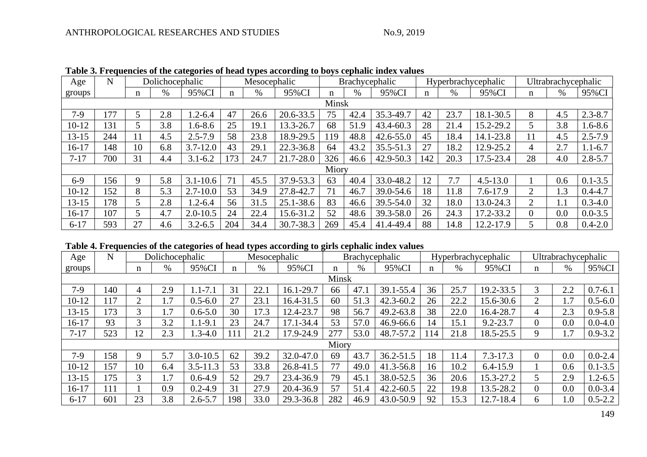| Age       | N          | Dolichocephalic          |     |              | Mesocephalic |      |           | <b>Brachycephalic</b> |      |               |     |      | Hyperbrachycephalic | Ultrabrachycephalic |      |             |
|-----------|------------|--------------------------|-----|--------------|--------------|------|-----------|-----------------------|------|---------------|-----|------|---------------------|---------------------|------|-------------|
| groups    |            | n                        | %   | 95%CI        | n            | $\%$ | 95%CI     | n                     | $\%$ | 95%CI         | n   | $\%$ | 95%CI               | n                   | $\%$ | 95%CI       |
| Minsk     |            |                          |     |              |              |      |           |                       |      |               |     |      |                     |                     |      |             |
| $7-9$     | 177        | $\overline{\phantom{a}}$ | 2.8 | $.2 - 6.4$   | 47           | 26.6 | 20.6-33.5 | 75                    | 42.4 | 35.3-49.7     | 42  | 23.7 | 18.1-30.5           | 8                   | 4.5  | $2.3 - 8.7$ |
| $10 - 12$ | 131        |                          | 3.8 | $.6 - 8.6$   | 25           | 19.1 | 13.3-26.7 | 68                    | 51.9 | 43.4-60.3     | 28  | 21.4 | 15.2-29.2           | 5                   | 3.8  | $1.6 - 8.6$ |
| 13-15     | 244        | 11                       | 4.5 | $2.5 - 7.9$  | 58           | 23.8 | 18.9-29.5 | 119                   | 48.8 | $42.6 - 55.0$ | 45  | 18.4 | 14.1-23.8           |                     | 4.5  | $2.5 - 7.9$ |
| $16 - 17$ | 148        | 10                       | 6.8 | $3.7 - 12.0$ | 43           | 29.1 | 22.3-36.8 | 64                    | 43.2 | $35.5 - 51.3$ | 27  | 18.2 | 12.9-25.2           | 4                   | 2.7  | $1.1 - 6.7$ |
| $7 - 17$  | 700        | 31                       | 4.4 | $3.1 - 6.2$  | 73           | 24.7 | 21.7-28.0 | 326                   | 46.6 | 42.9-50.3     | 142 | 20.3 | 17.5-23.4           | 28                  | 4.0  | $2.8 - 5.7$ |
| Miory     |            |                          |     |              |              |      |           |                       |      |               |     |      |                     |                     |      |             |
| $6-9$     | 156        | 9                        | 5.8 | $3.1 - 10.6$ |              | 45.5 | 37.9-53.3 | 63                    | 40.4 | 33.0-48.2     | 12  | 7.7  | $4.5 - 13.0$        |                     | 0.6  | $0.1 - 3.5$ |
| $10 - 12$ | 152        | 8                        | 5.3 | $2.7 - 10.0$ | 53           | 34.9 | 27.8-42.7 | 71                    | 46.7 | 39.0-54.6     | 18  | 11.8 | $7.6 - 17.9$        | 2                   | 1.3  | $0.4 - 4.7$ |
| $13 - 15$ | <b>178</b> | 5                        | 2.8 | $1.2 - 6.4$  | 56           | 31.5 | 25.1-38.6 | 83                    | 46.6 | 39.5-54.0     | 32  | 18.0 | 13.0-24.3           | $\overline{2}$      | 1.1  | $0.3 - 4.0$ |
| $16 - 17$ | 107        | 5                        | 4.7 | $2.0 - 10.5$ | 24           | 22.4 | 15.6-31.2 | 52                    | 48.6 | 39.3-58.0     | 26  | 24.3 | 17.2-33.2           | $\overline{0}$      | 0.0  | $0.0 - 3.5$ |
| $6 - 17$  | 593        | 27                       | 4.6 | $3.2 - 6.5$  | 204          | 34.4 | 30.7-38.3 | 269                   | 45.4 | 41.4-49.4     | 88  | 14.8 | 12.2-17.9           | 5                   | 0.8  | $0.4 - 2.0$ |

**Table 3. Frequencies of the categories of head types according to boys cephalic index values**

# **Table 4. Frequencies of the categories of head types according to girls cephalic index values**

| Age       | N     | Dolichocephalic |                  |              | Mesocephalic |      |           | Brachycephalic |      |               |     |      | Hyperbrachycephalic | Ultrabrachycephalic |       |             |
|-----------|-------|-----------------|------------------|--------------|--------------|------|-----------|----------------|------|---------------|-----|------|---------------------|---------------------|-------|-------------|
| groups    |       | n               | %                | 95%CI        | n            | $\%$ | 95%CI     | n              | $\%$ | 95%CI         | n   | %    | 95%CI               | n                   | $\%$  | 95%CI       |
|           | Minsk |                 |                  |              |              |      |           |                |      |               |     |      |                     |                     |       |             |
| $7-9$     | 140   | 4               | 2.9              | $1.1 - 7.1$  | 31           | 22.1 | 16.1-29.7 | 66             | 47.1 | 39.1-55.4     | 36  | 25.7 | 19.2-33.5           | 3                   | 2.2   | $0.7 - 6.1$ |
| $10 - 12$ | 117   | 2               | 1.7              | $0.5 - 6.0$  | 27           | 23.1 | 16.4-31.5 | 60             | 51.3 | $42.3 - 60.2$ | 26  | 22.2 | 15.6-30.6           | $\overline{2}$      | 1.7   | $0.5 - 6.0$ |
| $13 - 15$ | 173   | 3               | $\overline{1.7}$ | $0.6 - 5.0$  | 30           | 17.3 | 12.4-23.7 | 98             | 56.7 | 49.2-63.8     | 38  | 22.0 | 16.4-28.7           | 4                   | 2.3   | $0.9 - 5.8$ |
| $16-17$   | 93    | 3               | 3.2              | $1.1 - 9.1$  | 23           | 24.7 | 17.1-34.4 | 53             | 57.0 | 46.9-66.6     | 14  | 15.1 | $9.2 - 23.7$        |                     | 0.0   | $0.0 - 4.0$ |
| $7 - 17$  | 523   | 12              | 2.3              | $1.3 - 4.0$  | 111          | 21.2 | 17.9-24.9 | 277            | 53.0 | 48.7-57.2     | 114 | 21.8 | 18.5-25.5           | 9                   | 1.7   | $0.9 - 3.2$ |
| Miory     |       |                 |                  |              |              |      |           |                |      |               |     |      |                     |                     |       |             |
| $7-9$     | 158   | 9               | 5.7              | $3.0 - 10.5$ | 62           | 39.2 | 32.0-47.0 | 69             | 43.7 | 36.2-51.5     | 18  | 11.4 | $7.3 - 17.3$        |                     | 0.0   | $0.0 - 2.4$ |
| $10 - 12$ | 157   | 10              | 6.4              | $3.5 - 11.3$ | 53           | 33.8 | 26.8-41.5 | 77             | 49.0 | 41.3-56.8     | 16  | 10.2 | $6.4 - 15.9$        |                     | 0.6   | $0.1 - 3.5$ |
| $13 - 15$ | 175   | 3               | $\overline{1.7}$ | $0.6 - 4.9$  | 52           | 29.7 | 23.4-36.9 | 79             | 45.1 | 38.0-52.5     | 36  | 20.6 | 15.3-27.2           |                     | 2.9   | $1.2 - 6.5$ |
| $16 - 17$ | 111   |                 | 0.9              | $0.2 - 4.9$  | 31           | 27.9 | 20.4-36.9 | 57             | 51.4 | $42.2 - 60.5$ | 22  | 19.8 | 13.5-28.2           |                     | 0.0   | $0.0 - 3.4$ |
| $6 - 17$  | 601   | 23              | 3.8              | $2.6 - 5.7$  | 198          | 33.0 | 29.3-36.8 | 282            | 46.9 | 43.0-50.9     | 92  | 15.3 | 12.7-18.4           | 6.                  | $0$ . | $0.5 - 2.2$ |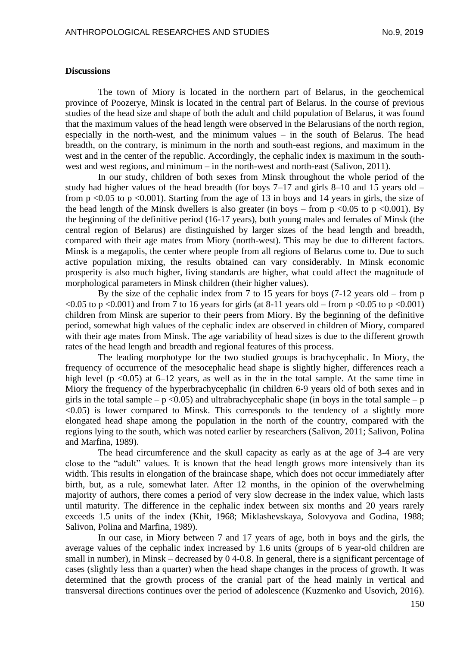### **Discussions**

The town of Miory is located in the northern part of Belarus, in the geochemical province of Poozerye, Minsk is located in the central part of Belarus. In the course of previous studies of the head size and shape of both the adult and child population of Belarus, it was found that the maximum values of the head length were observed in the Belarusians of the north region, especially in the north-west, and the minimum values – in the south of Belarus. The head breadth, on the contrary, is minimum in the north and south-east regions, and maximum in the west and in the center of the republic. Accordingly, the cephalic index is maximum in the southwest and west regions, and minimum – in the north-west and north-east (Salivon, 2011).

In our study, children of both sexes from Minsk throughout the whole period of the study had higher values of the head breadth (for boys 7–17 and girls 8–10 and 15 years old – from  $p \le 0.05$  to  $p \le 0.001$ ). Starting from the age of 13 in boys and 14 years in girls, the size of the head length of the Minsk dwellers is also greater (in boys – from  $p \le 0.05$  to  $p \le 0.001$ ). By the beginning of the definitive period (16-17 years), both young males and females of Minsk (the central region of Belarus) are distinguished by larger sizes of the head length and breadth, compared with their age mates from Miory (north-west). This may be due to different factors. Minsk is a megapolis, the center where people from all regions of Belarus come to. Due to such active population mixing, the results obtained can vary considerably. In Minsk economic prosperity is also much higher, living standards are higher, what could affect the magnitude of morphological parameters in Minsk children (their higher values).

By the size of the cephalic index from 7 to 15 years for boys (7-12 years old – from p  $\leq 0.05$  to p  $\leq 0.001$ ) and from 7 to 16 years for girls (at 8-11 years old – from p  $\leq 0.05$  to p  $\leq 0.001$ ) children from Minsk are superior to their peers from Miory. By the beginning of the definitive period, somewhat high values of the cephalic index are observed in children of Miory, compared with their age mates from Minsk. The age variability of head sizes is due to the different growth rates of the head length and breadth and regional features of this process.

The leading morphotype for the two studied groups is brachycephalic. In Miory, the frequency of occurrence of the mesocephalic head shape is slightly higher, differences reach a high level ( $p \le 0.05$ ) at 6–12 years, as well as in the in the total sample. At the same time in Miory the frequency of the hyperbrachycephalic (in children 6-9 years old of both sexes and in girls in the total sample –  $p \le 0.05$ ) and ultrabrachycephalic shape (in boys in the total sample – p  $\leq 0.05$ ) is lower compared to Minsk. This corresponds to the tendency of a slightly more elongated head shape among the population in the north of the country, compared with the regions lying to the south, which was noted earlier by researchers (Salivon, 2011; Salivon, Polina and Marfina, 1989).

The head circumference and the skull capacity as early as at the age of 3-4 are very close to the "adult" values. It is known that the head length grows more intensively than its width. This results in elongation of the braincase shape, which does not occur immediately after birth, but, as a rule, somewhat later. After 12 months, in the opinion of the overwhelming majority of authors, there comes a period of very slow decrease in the index value, which lasts until maturity. The difference in the cephalic index between six months and 20 years rarely exceeds 1.5 units of the index (Khit, 1968; Miklashevskaya, Solovyova and Godina, 1988; Salivon, Polina and Marfina, 1989).

In our case, in Miory between 7 and 17 years of age, both in boys and the girls, the average values of the cephalic index increased by 1.6 units (groups of 6 year-old children are small in number), in Minsk – decreased by 0 4-0.8. In general, there is a significant percentage of cases (slightly less than a quarter) when the head shape changes in the process of growth. It was determined that the growth process of the cranial part of the head mainly in vertical and transversal directions continues over the period of adolescence (Kuzmenko and Usovich, 2016).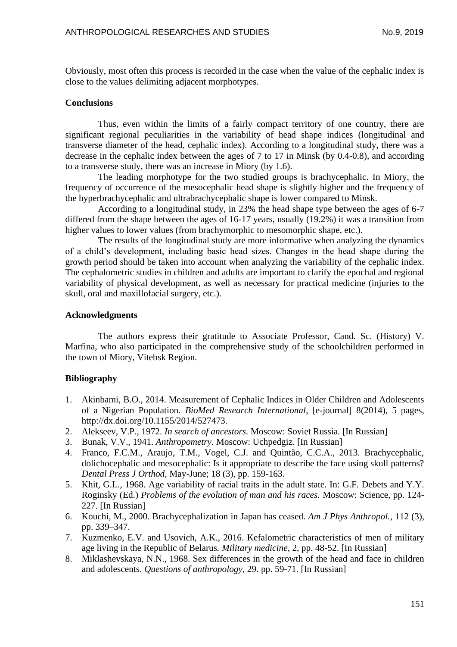Obviously, most often this process is recorded in the case when the value of the cephalic index is close to the values delimiting adjacent morphotypes.

## **Conclusions**

Thus, even within the limits of a fairly compact territory of one country, there are significant regional peculiarities in the variability of head shape indices (longitudinal and transverse diameter of the head, cephalic index). According to a longitudinal study, there was a decrease in the cephalic index between the ages of 7 to 17 in Minsk (by 0.4-0.8), and according to a transverse study, there was an increase in Miory (by 1.6).

The leading morphotype for the two studied groups is brachycephalic. In Miory, the frequency of occurrence of the mesocephalic head shape is slightly higher and the frequency of the hyperbrachycephalic and ultrabrachycephalic shape is lower compared to Minsk.

According to a longitudinal study, in 23% the head shape type between the ages of 6-7 differed from the shape between the ages of 16-17 years, usually (19.2%) it was a transition from higher values to lower values (from brachymorphic to mesomorphic shape, etc.).

The results of the longitudinal study are more informative when analyzing the dynamics of a child's development, including basic head sizes. Changes in the head shape during the growth period should be taken into account when analyzing the variability of the cephalic index. The cephalometric studies in children and adults are important to clarify the epochal and regional variability of physical development, as well as necessary for practical medicine (injuries to the skull, oral and maxillofacial surgery, etc.).

### **Acknowledgments**

The authors express their gratitude to Associate Professor, Cand. Sc. (History) V. Marfina, who also participated in the comprehensive study of the schoolchildren performed in the town of Miory, Vitebsk Region.

# **Bibliography**

- 1. Akinbami, B.O., 2014. Measurement of Cephalic Indices in Older Children and Adolescents of a Nigerian Population. *BioMed Research International*, [e-journal] 8(2014), 5 pages, http://dx.doi.org/10.1155/2014/527473.
- 2. Alekseev, V.P., 1972. *In search of ancestors.* Moscow: Soviet Russia. [In Russian]
- 3. Bunak, V.V., 1941. *Anthropometry.* Moscow: Uchpedgiz. [In Russian]
- 4. Franco, F.C.M., Araujo, T.M., Vogel, C.J. and Quintão, C.C.A., 2013. Brachycephalic, dolichocephalic and mesocephalic: Is it appropriate to describe the face using skull patterns? *Dental Press J Orthod,* May-June; 18 (3), pp. 159-163.
- 5. Khit, G.L., 1968. Age variability of racial traits in the adult state. In: G.F. Debets and Y.Y. Roginsky (Ed.) *Problems of the evolution of man and his races.* Moscow: Science, pp. 124- 227. [In Russian]
- 6. Kouchi, M., 2000. Brachycephalization in Japan has ceased. *Am J Phys Anthropol.*, 112 (3), pp. 339–347.
- 7. Kuzmenko, E.V. and Usovich, A.K., 2016. Kefalometric characteristics of men of military age living in the Republic of Belarus*. Military medicine*, 2, pp. 48-52. [In Russian]
- 8. Miklashevskaya, N.N., 1968. Sex differences in the growth of the head and face in children and adolescents. *Questions of anthropology,* 29. pp. 59-71. [In Russian]